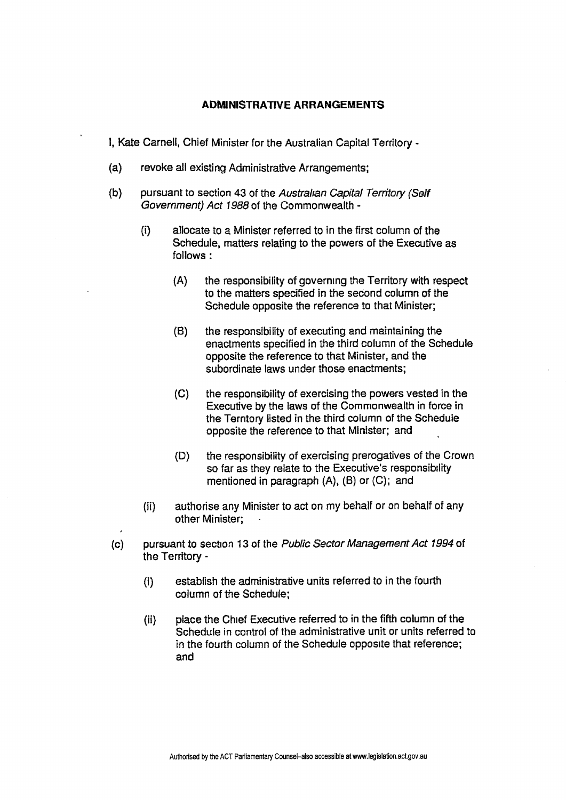## **ADMINISTRATIVE ARRANGEMENTS**

I, Kate Carnell, Chief Minister for the Australian Capital Territory -

- (a) revoke all existing Administrative Arrangements;
- **(b)** pursuant to section **43** of the Australian Capital Territory (Self Government) Act 7988 of the Commonwealth -
	- (i) allocate to a Minister referred to in the first column of the Schedule, matters relating to the powers of the Executive as follows :
		- (A) the responsibility of governing the Territory with respect to the matters specified in the second column of the Schedule opposite the reference to that Minister;
		- **(5)** the responsibility of executing and maintaining the enactments specified in the third column of the Schedule opposite the reference to that Minister, and the subordinate laws under those enactments;
		- **(C)** the responsibility of exercising the powers vested in the Executive by the laws of the Commonwealth in force in the Territory listed in the third column of the Schedule opposite the reference to that Minister; and
		- (D) the responsibility of exercising prerogatives of the Crown so far as they relate to the Executive's responsibility mentioned in paragraph (A), **(6)** or (C); and
	- (ii) authorise any Minister to act on my behalf or on behalf of any other Minister:
- (c) pursuant to section 13 of the Public Sector **Management** Act 1994 of the Territory -
	- (i) establish the administrative units referred to in the fourth column of the Schedule:
	- (ii) place the Chief Executive referred to in the fifth column of the Schedule in control of the administrative unit or units referred to in the fourth column of the Schedule opposite that reference; and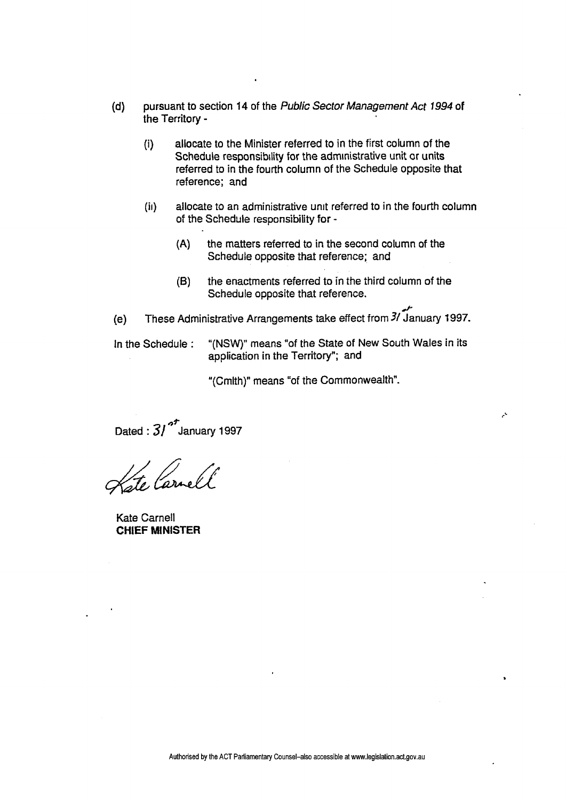- **(d)** pursuant to section 14 of the **Public Sector Management Act 1994 of**  the Territory -
	- (i) allocate to the Minister referred to in the first column of the Schedule responsibility for the administrative unit or units referred to in the fourth column of the Schedule opposite that reference; and
	- (ii) allocate to an administrative unit referred to in the fourth column of the Schedule responsibility for -
		- **(A)** the matters referred to **in** the second column of the Schedule opposite that reference; and
		- **(B)** the enactments referred to in the third column of the Schedule opposite that reference.
- ب<br>باستادار<br>المساحات (e) These Administrative Arrangements take effect from *31* January 1997.

In the Schedule : "(NSW)" means "of the State of New South Wales in its application in the Territory"; and

۸

"(Cmlth)" means "of the Commonwealth".

Dated :  $31^{5}$  January 1997

te Carrell

Kate Carnell **CHIEF** MINISTER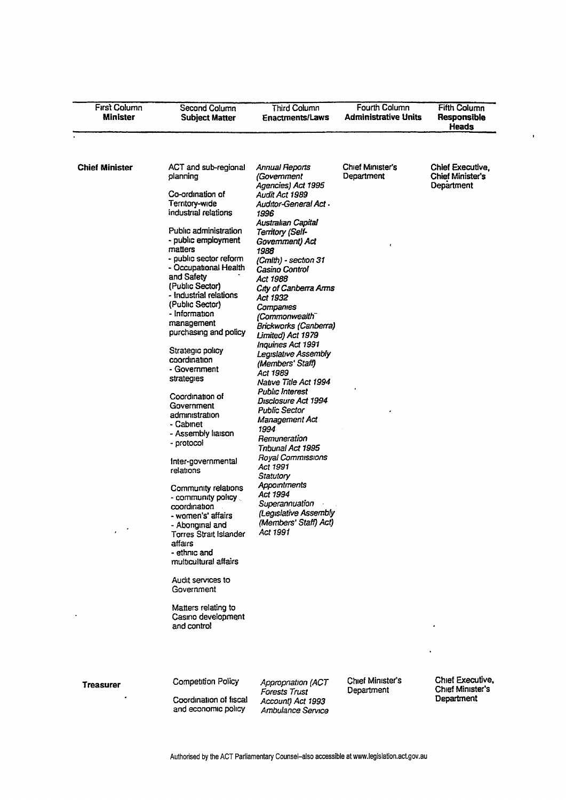| First Column<br><b>Minister</b> | Second Column<br><b>Subject Matter</b>                                                                                                                                                                                                                                                                                                                                                                                                                                                                                                                                                                                                                                                                                                                                              | Third Column<br><b>Enactments/Laws</b>                                                                                                                                                                                                                                                                                                                                                                                                                                                                                                                                                                                                                                                                                                                           | Fourth Column<br><b>Administrative Units</b> | <b>Fifth Column</b><br><b>Responsible</b><br>Heads |
|---------------------------------|-------------------------------------------------------------------------------------------------------------------------------------------------------------------------------------------------------------------------------------------------------------------------------------------------------------------------------------------------------------------------------------------------------------------------------------------------------------------------------------------------------------------------------------------------------------------------------------------------------------------------------------------------------------------------------------------------------------------------------------------------------------------------------------|------------------------------------------------------------------------------------------------------------------------------------------------------------------------------------------------------------------------------------------------------------------------------------------------------------------------------------------------------------------------------------------------------------------------------------------------------------------------------------------------------------------------------------------------------------------------------------------------------------------------------------------------------------------------------------------------------------------------------------------------------------------|----------------------------------------------|----------------------------------------------------|
| <b>Chief Minister</b>           | ACT and sub-regional<br>planning<br>Co-ordination of<br>Territory-wide<br>industrial relations<br>Public administration<br>- public employment<br>matters<br>- public sector reform<br>- Occupational Health<br>and Safety<br>(Public Sector)<br>- Industrial relations<br>(Public Sector)<br>- Information<br>management<br>purchasing and policy<br>Strategic policy<br>coordination<br>- Government<br>strategies<br>Coordination of<br>Government<br>administration<br>- Cabınet<br>- Assembly liaison<br>- protocol<br>Inter-governmental<br>relations<br>Community relations<br>- community policy<br>coordination<br>- women's' affairs<br>- Aboriginal and<br>Torres Strait Islander<br>affairs<br>- ethnic and<br>multicultural affairs<br>Audit services to<br>Government | Annual Reports<br>(Government<br>Agencies) Act 1995<br>Audit Act 1989<br>Auditor-General Act .<br>1996<br>Australian Capital<br>Territory (Self-<br>Government) Act<br>1988<br>(Cmlth) - section 31<br>Casino Control<br>Act 1988<br>City of Canberra Arms<br>Act 1932<br>Companies<br>(Commonwealth <sup>-</sup><br>Brickworks (Canberra)<br>Limited) Act 1979<br><b>Inquiries Act 1991</b><br>Legislative Assembly<br>(Members' Staff)<br>Act 1989<br>Native Title Act 1994<br>Public Interest<br>Disclosure Act 1994<br>Public Sector<br>Management Act<br>1994<br>Remuneration<br>Tnbunal Act 1995<br>Royal Commissions<br>Act 1991<br>Statutory<br>Appointments<br>Act 1994<br>Superannuation<br>(Legislative Assembly<br>(Members' Staff) Act)<br>Act 1991 | Chief Minister's<br>Department               | Chief Executive.<br>Chief Minister's<br>Department |
| <b>Treasurer</b>                | Matters relating to<br>Casino development<br>and control<br><b>Competition Policy</b><br>Coordination of fiscal                                                                                                                                                                                                                                                                                                                                                                                                                                                                                                                                                                                                                                                                     | Appropriation (ACT<br><b>Forests Trust</b><br>Account) Act 1993                                                                                                                                                                                                                                                                                                                                                                                                                                                                                                                                                                                                                                                                                                  | Chief Minister's<br>Department               | Chief Executive,<br>Chief Minister's<br>Department |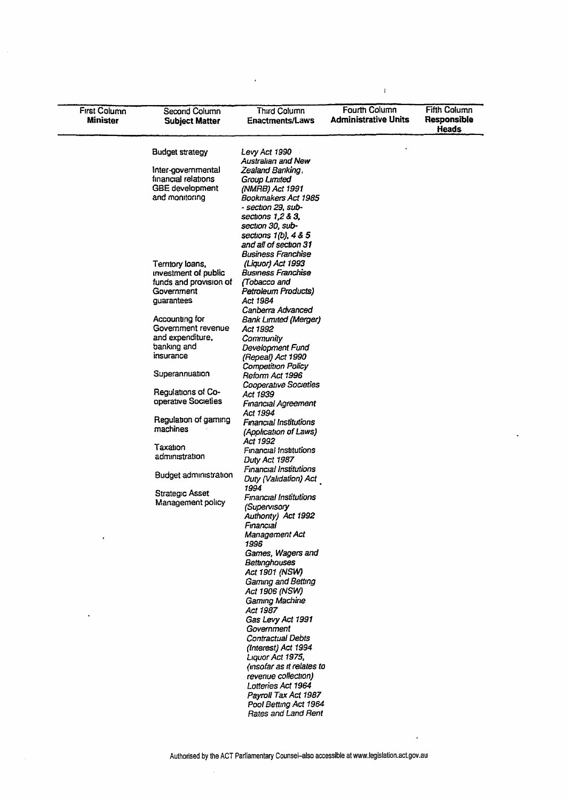| First Column<br>Minister | Second Column<br><b>Subject Matter</b>   | Third Column<br><b>Enactments/Laws</b>         | Fourth Column<br><b>Administrative Units</b> | <b>Fifth Column</b><br>Responsible<br><b>Heads</b> |
|--------------------------|------------------------------------------|------------------------------------------------|----------------------------------------------|----------------------------------------------------|
|                          | <b>Budget strategy</b>                   | Levy Act 1990                                  |                                              |                                                    |
|                          |                                          | <b>Australian and New</b>                      |                                              |                                                    |
|                          | Inter-governmental                       | Zealand Banking,                               |                                              |                                                    |
|                          | financial relations                      | Group Limited                                  |                                              |                                                    |
|                          | <b>GBE</b> development<br>and monitoring | (NMRB) Act 1991<br>Bookmakers Act 1985         |                                              |                                                    |
|                          |                                          | - section 29. sub-                             |                                              |                                                    |
|                          |                                          | sections 1,2 & 3,                              |                                              |                                                    |
|                          |                                          | section 30, sub-                               |                                              |                                                    |
|                          |                                          | sections $1(b)$ , $4 & 5$                      |                                              |                                                    |
|                          |                                          | and all of section 31                          |                                              |                                                    |
|                          |                                          | <b>Business Franchise</b>                      |                                              |                                                    |
|                          | Territory loans,                         | (Liquor) Act 1993                              |                                              |                                                    |
|                          | investment of public                     | Business Franchise                             |                                              |                                                    |
|                          | funds and provision of                   | (Tobacco and                                   |                                              |                                                    |
|                          | Government                               | Petroleum Products)                            |                                              |                                                    |
|                          | guarantees                               | Act 1984                                       |                                              |                                                    |
|                          |                                          | Canberra Advanced                              |                                              |                                                    |
|                          | Accounting for                           | <b>Bank Limited (Merger)</b>                   |                                              |                                                    |
|                          | Government revenue                       | Act 1992                                       |                                              |                                                    |
|                          | and expenditure,<br>banking and          | Community                                      |                                              |                                                    |
|                          | insurance                                | Development Fund                               |                                              |                                                    |
|                          |                                          | (Repeal) Act 1990<br><b>Competition Policy</b> |                                              |                                                    |
|                          | Superannuation                           | Reform Act 1996                                |                                              |                                                    |
|                          |                                          | <b>Cooperative Societies</b>                   |                                              |                                                    |
|                          | Regulations of Co-                       | Act 1939                                       |                                              |                                                    |
|                          | operative Societies                      | <b>Financial Agreement</b>                     |                                              |                                                    |
|                          |                                          | Act 1994                                       |                                              |                                                    |
|                          | Regulation of gaming                     | <b>Financial Institutions</b>                  |                                              |                                                    |
|                          | machines                                 | (Application of Laws)                          |                                              |                                                    |
|                          |                                          | Act 1992                                       |                                              |                                                    |
|                          | Taxation<br>administration               | Financial Institutions                         |                                              |                                                    |
|                          |                                          | Duty Act 1987                                  |                                              |                                                    |
|                          | Budget administration                    | Financial Institutions                         |                                              |                                                    |
|                          |                                          | Duty (Validation) Act                          |                                              |                                                    |
|                          | <b>Strategic Asset</b>                   | 1994                                           |                                              |                                                    |
|                          | Management policy                        | <b>Financial Institutions</b>                  |                                              |                                                    |
|                          |                                          | (Supervisory                                   |                                              |                                                    |
|                          |                                          | Authority) Act 1992                            |                                              |                                                    |
|                          |                                          | Financial<br>Management Act                    |                                              |                                                    |
|                          |                                          | 1996                                           |                                              |                                                    |
|                          |                                          | Games, Wagers and                              |                                              |                                                    |
|                          |                                          | <b>Bettinghouses</b>                           |                                              |                                                    |
|                          |                                          | Act 1901 (NSW)                                 |                                              |                                                    |
|                          |                                          | Gaming and Betting                             |                                              |                                                    |
|                          |                                          | Act 1906 (NSW)                                 |                                              |                                                    |
|                          |                                          | Gaming Machine                                 |                                              |                                                    |
|                          |                                          | Act 1987                                       |                                              |                                                    |
|                          |                                          | Gas Levy Act 1991                              |                                              |                                                    |
|                          |                                          | Government                                     |                                              |                                                    |
|                          |                                          | Contractual Debts                              |                                              |                                                    |
|                          |                                          | (Interest) Act 1994                            |                                              |                                                    |
|                          |                                          | Liquor Act 1975,                               |                                              |                                                    |
|                          |                                          | (insofar as it relates to                      |                                              |                                                    |
|                          |                                          | revenue collection)                            |                                              |                                                    |
|                          |                                          | Lotteries Act 1964                             |                                              |                                                    |
|                          |                                          | Payroll Tax Act 1987<br>Pool Betting Act 1964  |                                              |                                                    |
|                          |                                          |                                                |                                              |                                                    |

 $\mathcal{L}^{\text{max}}_{\text{max}}$ 

 $\bar{1}$ 

 $\ddot{\phantom{0}}$ 

 $\hat{\beta}$ 

 $\hat{\boldsymbol{\epsilon}}$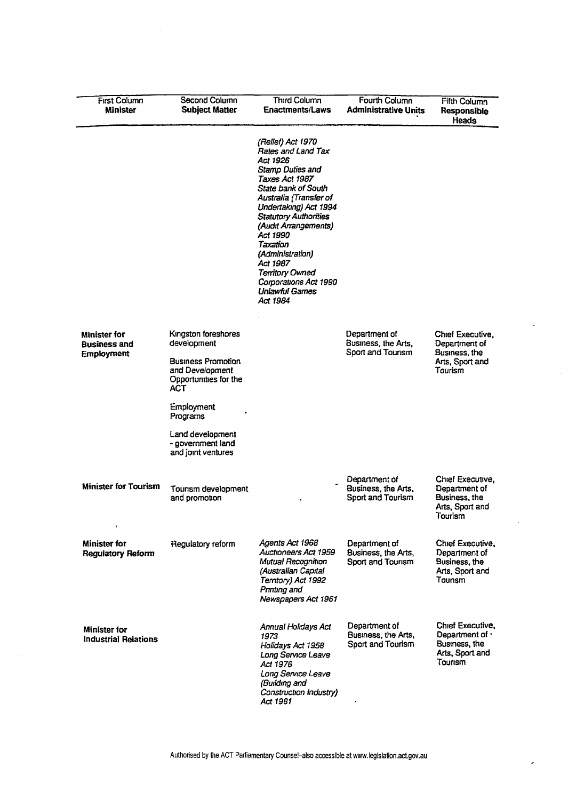| <b>First Column</b><br>Minister                          | Second Column<br><b>Subject Matter</b>                                                                             | <b>Third Column</b><br><b>Enactments/Laws</b>                                                                                                                                                                                                                                                                                                                                             | Fourth Column<br><b>Administrative Units</b>              | Fifth Column<br>Responsible<br>Heads                                               |
|----------------------------------------------------------|--------------------------------------------------------------------------------------------------------------------|-------------------------------------------------------------------------------------------------------------------------------------------------------------------------------------------------------------------------------------------------------------------------------------------------------------------------------------------------------------------------------------------|-----------------------------------------------------------|------------------------------------------------------------------------------------|
|                                                          |                                                                                                                    | (Relief) Act 1970<br><b>Rates and Land Tax</b><br>Act 1926<br><b>Stamp Duties and</b><br>Taxes Act 1987<br><b>State bank of South</b><br>Australia (Transfer of<br>Undertaking) Act 1994<br><b>Statutory Authorities</b><br>(Audit Arrangements)<br>Act 1990<br>Taxation<br>(Administration)<br>Act 1987<br><b>Territory Owned</b><br>Corporations Act 1990<br>Unlawful Games<br>Act 1984 |                                                           |                                                                                    |
| <b>Minister for</b><br>Business and<br><b>Employment</b> | Kingston foreshores<br>development<br><b>Business Promotion</b><br>and Development<br>Opportunities for the<br>ACT |                                                                                                                                                                                                                                                                                                                                                                                           | Department of<br>Business, the Arts,<br>Sport and Tourism | Chief Executive,<br>Department of<br>Business, the<br>Arts, Sport and<br>Tourism   |
|                                                          | Employment<br>Programs<br>Land development<br>- government land<br>and joint ventures                              |                                                                                                                                                                                                                                                                                                                                                                                           |                                                           |                                                                                    |
| Minister for Tourism<br>$\pmb{\cdot}$                    | Tourism development<br>and promotion                                                                               |                                                                                                                                                                                                                                                                                                                                                                                           | Department of<br>Business, the Arts,<br>Sport and Tourism | Chief Executive,<br>Department of<br>Business, the<br>Arts, Sport and<br>Tourism   |
| <b>Minister for</b><br><b>Regulatory Reform</b>          | Regulatory reform                                                                                                  | Agents Act 1968<br>Auctioneers Act 1959<br>Mutual Recognition<br>(Australian Capital<br>Territory) Act 1992<br>Printing and<br>Newspapers Act 1961                                                                                                                                                                                                                                        | Department of<br>Business, the Arts,<br>Sport and Tourism | Chief Executive,<br>Department of<br>Business, the<br>Arts, Sport and<br>Tourism   |
| <b>Minister for</b><br><b>Industrial Relations</b>       |                                                                                                                    | <b>Annual Holidays Act</b><br>1973<br>Holidays Act 1958<br>Long Service Leave<br>Act 1976<br>Long Service Leave<br>(Building and<br>Construction Industry)<br>Act 1981                                                                                                                                                                                                                    | Department of<br>Business, the Arts,<br>Sport and Tourism | Chief Executive,<br>Department of ·<br>Business, the<br>Arts, Sport and<br>Tourism |

÷.

 $\hat{\boldsymbol{\beta}}$ 

 $\bar{z}$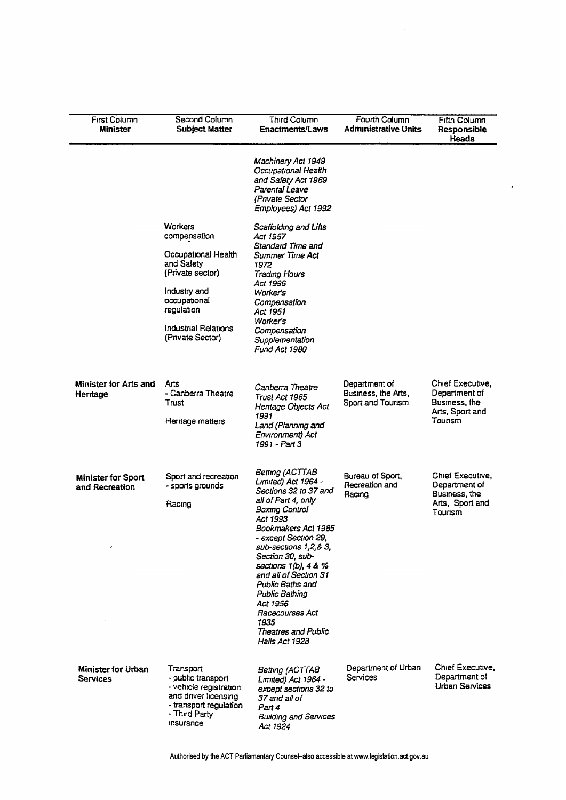| <b>First Column</b><br><b>Minister</b>       | Second Column<br><b>Subject Matter</b>                                                                                                    | <b>Third Column</b><br><b>Enactments/Laws</b>                                                                                                                                                                                                                                                                                                                                      | Fourth Column<br><b>Administrative Units</b>              | <b>Fifth Column</b><br>Responsible<br>Heads                                      |
|----------------------------------------------|-------------------------------------------------------------------------------------------------------------------------------------------|------------------------------------------------------------------------------------------------------------------------------------------------------------------------------------------------------------------------------------------------------------------------------------------------------------------------------------------------------------------------------------|-----------------------------------------------------------|----------------------------------------------------------------------------------|
|                                              |                                                                                                                                           | Machinery Act 1949<br>Occupational Health<br>and Safety Act 1989<br>Parental Leave<br>(Private Sector<br>Employees) Act 1992                                                                                                                                                                                                                                                       |                                                           |                                                                                  |
|                                              | Warkers<br>compensation                                                                                                                   | Scaffolding and Lifts<br>Act 1957                                                                                                                                                                                                                                                                                                                                                  |                                                           |                                                                                  |
|                                              | Occupational Health<br>and Safety<br>(Private sector)                                                                                     | Standard Time and<br>Summer Time Act<br>1972<br>Trading Hours                                                                                                                                                                                                                                                                                                                      |                                                           |                                                                                  |
|                                              | Industry and<br>occupational<br>regulation                                                                                                | Act 1996<br>Worker's<br>Compensation<br>Act 1951                                                                                                                                                                                                                                                                                                                                   |                                                           |                                                                                  |
|                                              | <b>Industrial Relations</b><br>(Private Sector)                                                                                           | Worker's<br>Compensation<br>Supplementation<br>Fund Act 1980                                                                                                                                                                                                                                                                                                                       |                                                           |                                                                                  |
| <b>Minister for Arts and</b><br>Heritage     | Arts<br>- Canberra Theatre<br>Trust<br>Hentage matters                                                                                    | Canberra Theatre<br>Trust Act 1965<br>Hentage Objects Act<br>1991<br>Land (Planning and<br>Environment) Act<br>1991 - Part 3                                                                                                                                                                                                                                                       | Department of<br>Business, the Arts,<br>Sport and Tourism | Chief Executive,<br>Department of<br>Business, the<br>Arts, Sport and<br>Tounsm  |
|                                              |                                                                                                                                           | Betting (ACTTAB                                                                                                                                                                                                                                                                                                                                                                    |                                                           |                                                                                  |
| <b>Minister for Sport</b><br>and Recreation  | Sport and recreation<br>- sports grounds<br>Racing                                                                                        | Limited) Act 1964 -<br>Sections 32 to 37 and<br>all of Part 4, only<br><b>Boxing Control</b><br>Act 1993<br>Bookmakers Act 1985<br>- except Section 29,<br>sub-sections 1,2,& 3,<br>Section 30, sub-<br>sections 1(b), 4 & %<br>and all of Section 31<br>Public Baths and<br>Public Bathing<br>Act 1956<br>Racecourses Act<br>1935<br><b>Theatres and Public</b><br>Halls Act 1928 | Bureau of Sport,<br>Recreation and<br>Racing              | Chief Executive,<br>Department of<br>Business, the<br>Arts, Sport and<br>Tourism |
|                                              |                                                                                                                                           |                                                                                                                                                                                                                                                                                                                                                                                    |                                                           |                                                                                  |
| <b>Minister for Urban</b><br><b>Services</b> | Transport<br>- public transport<br>- vehicle registration<br>and driver licensing<br>- transport regulation<br>- Third Party<br>insurance | Betting (ACTTAB<br>Limited) Act 1964 -<br>except sections 32 to<br>37 and all of<br>Part 4<br><b>Building and Services</b><br>Act 1924                                                                                                                                                                                                                                             | Department of Urban<br>Services                           | Chief Executive,<br>Department of<br>Urban Services                              |

 $\hat{\mathcal{L}}$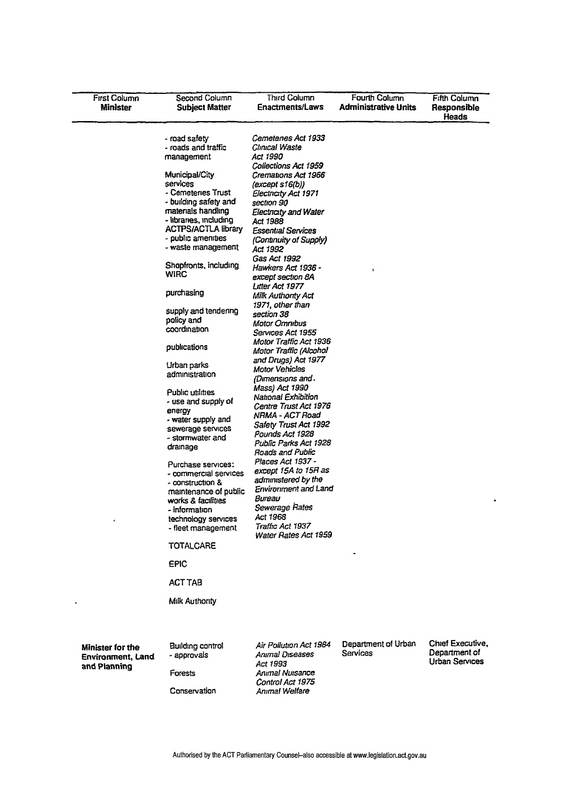| <b>First Column</b><br>Minister                              | Second Column<br><b>Subject Matter</b>                                                                                                                                                                                                                                                                                                                                                                                                                                                                                                                                                                                                                                                                                                                                                         | <b>Third Column</b><br>Enactments/Laws                                                                                                                                                                                                                                                                                                                                                                                                                                                                                                                                                                                                                                                                                                                                                                                                                                                                                     | Fourth Column<br>Administrative Units | <b>Fifth Column</b><br>Responsible<br>Heads                |
|--------------------------------------------------------------|------------------------------------------------------------------------------------------------------------------------------------------------------------------------------------------------------------------------------------------------------------------------------------------------------------------------------------------------------------------------------------------------------------------------------------------------------------------------------------------------------------------------------------------------------------------------------------------------------------------------------------------------------------------------------------------------------------------------------------------------------------------------------------------------|----------------------------------------------------------------------------------------------------------------------------------------------------------------------------------------------------------------------------------------------------------------------------------------------------------------------------------------------------------------------------------------------------------------------------------------------------------------------------------------------------------------------------------------------------------------------------------------------------------------------------------------------------------------------------------------------------------------------------------------------------------------------------------------------------------------------------------------------------------------------------------------------------------------------------|---------------------------------------|------------------------------------------------------------|
|                                                              | - road safety<br>- roads and traffic<br>management<br>Municipal/City<br>services<br>- Cemeteries Trust<br>- building safety and<br>materials handling<br>- libraries, including<br><b>ACTPS/ACTLA library</b><br>- public amenities<br>- waste management<br>Shopfronts, including<br><b>WIRC</b><br>purchasing<br>supply and tendering<br>policy and<br>coordination<br>publications<br>Urban parks<br>administration<br>Public utilities<br>- use and supply of<br>energy<br>- water supply and<br>sewerage services<br>- stormwater and<br>dramage<br>Purchase services:<br>- commercial services<br>- construction &<br>maintenance of public<br>works & facilities<br>- information<br>technology services<br>- fleet management<br>TOTALCARE<br>EPIC<br><b>ACT TAB</b><br>Milk Authority | Cemetenes Act 1933<br>Clinical Waste<br>Act 1990<br>Collections Act 1959<br>Cremations Act 1966<br>(except s16(b))<br>Electricity Act 1971<br>section 90<br>Electnaty and Water<br>Act 1988<br>Essential Services<br>(Continuity of Supply)<br>Act 1992<br>Gas Act 1992<br>Hawkers Act 1936 -<br>except section 8A<br>Litter Act 1977<br>Milk Authority Act<br>1971, other than<br>section 38<br>Motor Omnibus<br>Services Act 1955<br>Motor Traffic Act 1936<br>Motor Traffic (Alcohol<br>and Drugs) Act 1977<br>Motor Vehicles<br>(Dimensions and .<br>Mass) Act 1990<br>National Exhibition<br>Centre Trust Act 1976<br>NRMA - ACT Road<br>Safety Trust Act 1992<br>Pounds Act 1928<br>Public Parks Act 1928<br>Roads and Public<br>Places Act 1937 -<br>except 15A to 15R as<br>administered by the<br><b>Environment and Land</b><br>Bureau<br>Sewerage Rates<br>Act 1968<br>Traffic Act 1937<br>Water Rates Act 1959 |                                       |                                                            |
| Minister for the<br><b>Environment, Land</b><br>and Planning | Building control<br>- approvals<br>Forests<br>Conservation                                                                                                                                                                                                                                                                                                                                                                                                                                                                                                                                                                                                                                                                                                                                     | Air Pollution Act 1984<br><b>Animal Diseases</b><br>Act 1993<br><b>Animal Nuisance</b><br>Control Act 1975<br>Anımal Welfare                                                                                                                                                                                                                                                                                                                                                                                                                                                                                                                                                                                                                                                                                                                                                                                               | Department of Urban<br>Services       | Chief Executive,<br>Department of<br><b>Urban Services</b> |

 $\blacksquare$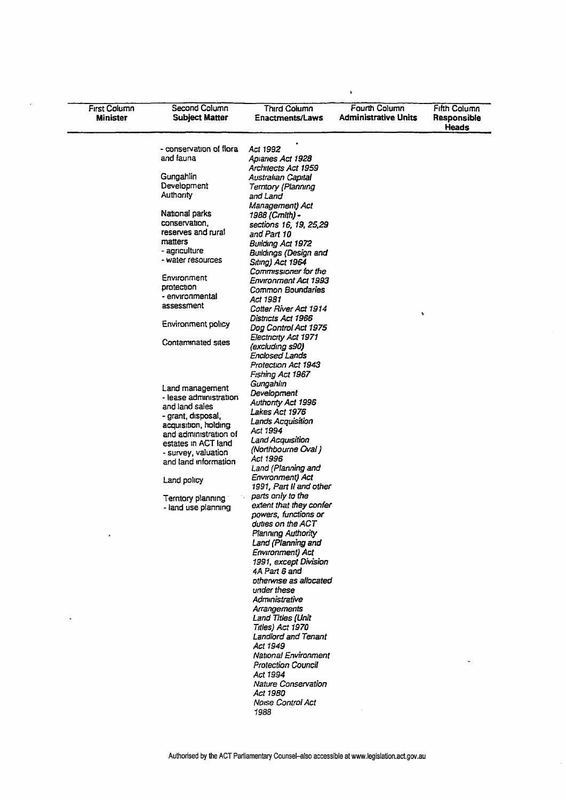| - conservation of flora<br>Act 1992<br>and fauna<br>Apiaries Act 1928<br>Architects Act 1959<br>Gungahlin<br>Australian Capital<br>Development<br>Terntory (Planning<br>Authority<br>and Land<br>Management) Act<br>National parks<br>1988 (Cmith) -<br>conservation,<br>sections 16, 19, 25,29<br>reserves and rural<br>and Part 10<br>matters<br>Building Act 1972<br>- agnculture<br>Buildings (Design and<br>- water resources<br>Siting) Act 1964<br>Commissioner for the<br>Environment<br>Environment Act 1993<br>protection<br>Common Boundaries<br>- environmental<br>Act 1981<br>assessment<br>Cotter River Act 1914<br>۹<br>Districts Act 1966<br>Environment policy<br>Dog Control Act 1975<br>Electricity Act 1971<br>Contaminated sites<br>(excluding s90)<br>Enclosed Lands<br>Protection Act 1943<br>Fishing Act 1967<br>Gungahlin<br>Land management<br>Development<br>- lease administration<br><b>Authority Act 1996</b><br>and land sales<br>Lakes Act 1976<br>- grant, disposal,<br>Lands Acquisition<br>acquisition, holding<br>Act 1994<br>and administration of<br>Land Acquisition<br>estates in ACT land<br>(Northbourne Oval)<br>- survey, valuation<br>Act 1996<br>and land information<br>Land (Planning and<br>Environment) Act<br>Land policy<br>1991, Part II and other<br>parts only to the<br>Territory planning<br>extent that they confer<br>- land use planning<br>powers, functions or<br>duties on the ACT<br><b>Planning Authority</b><br>Land (Planning and<br><b>Environment</b> ) Act<br>1991, except Division<br>4A Part 6 and<br>otherwise as allocated<br>under these<br>Administrative<br>Arrangements<br>Land Titles (Unit<br>Titles) Act 1970<br>Landlord and Tenant<br>Act 1949<br><b>National Environment</b><br><b>Protection Council</b><br>Act 1994<br><b>Nature Conservation</b><br>Act 1980<br><b>Noise Control Act</b><br>1988 | <b>First Column</b><br>Minister | Second Column<br><b>Subject Matter</b> | Third Column<br><b>Enactments/Laws</b> | <b>Fourth Column</b><br><b>Administrative Units</b> | <b>Fifth Column</b><br>Responsible<br>Heads |
|-----------------------------------------------------------------------------------------------------------------------------------------------------------------------------------------------------------------------------------------------------------------------------------------------------------------------------------------------------------------------------------------------------------------------------------------------------------------------------------------------------------------------------------------------------------------------------------------------------------------------------------------------------------------------------------------------------------------------------------------------------------------------------------------------------------------------------------------------------------------------------------------------------------------------------------------------------------------------------------------------------------------------------------------------------------------------------------------------------------------------------------------------------------------------------------------------------------------------------------------------------------------------------------------------------------------------------------------------------------------------------------------------------------------------------------------------------------------------------------------------------------------------------------------------------------------------------------------------------------------------------------------------------------------------------------------------------------------------------------------------------------------------------------------------------------------------------------------------------------------------------------------|---------------------------------|----------------------------------------|----------------------------------------|-----------------------------------------------------|---------------------------------------------|
|                                                                                                                                                                                                                                                                                                                                                                                                                                                                                                                                                                                                                                                                                                                                                                                                                                                                                                                                                                                                                                                                                                                                                                                                                                                                                                                                                                                                                                                                                                                                                                                                                                                                                                                                                                                                                                                                                         |                                 |                                        |                                        |                                                     |                                             |
|                                                                                                                                                                                                                                                                                                                                                                                                                                                                                                                                                                                                                                                                                                                                                                                                                                                                                                                                                                                                                                                                                                                                                                                                                                                                                                                                                                                                                                                                                                                                                                                                                                                                                                                                                                                                                                                                                         |                                 |                                        |                                        |                                                     |                                             |
|                                                                                                                                                                                                                                                                                                                                                                                                                                                                                                                                                                                                                                                                                                                                                                                                                                                                                                                                                                                                                                                                                                                                                                                                                                                                                                                                                                                                                                                                                                                                                                                                                                                                                                                                                                                                                                                                                         |                                 |                                        |                                        |                                                     |                                             |
|                                                                                                                                                                                                                                                                                                                                                                                                                                                                                                                                                                                                                                                                                                                                                                                                                                                                                                                                                                                                                                                                                                                                                                                                                                                                                                                                                                                                                                                                                                                                                                                                                                                                                                                                                                                                                                                                                         |                                 |                                        |                                        |                                                     |                                             |
|                                                                                                                                                                                                                                                                                                                                                                                                                                                                                                                                                                                                                                                                                                                                                                                                                                                                                                                                                                                                                                                                                                                                                                                                                                                                                                                                                                                                                                                                                                                                                                                                                                                                                                                                                                                                                                                                                         |                                 |                                        |                                        |                                                     |                                             |
|                                                                                                                                                                                                                                                                                                                                                                                                                                                                                                                                                                                                                                                                                                                                                                                                                                                                                                                                                                                                                                                                                                                                                                                                                                                                                                                                                                                                                                                                                                                                                                                                                                                                                                                                                                                                                                                                                         |                                 |                                        |                                        |                                                     |                                             |
|                                                                                                                                                                                                                                                                                                                                                                                                                                                                                                                                                                                                                                                                                                                                                                                                                                                                                                                                                                                                                                                                                                                                                                                                                                                                                                                                                                                                                                                                                                                                                                                                                                                                                                                                                                                                                                                                                         |                                 |                                        |                                        |                                                     |                                             |
|                                                                                                                                                                                                                                                                                                                                                                                                                                                                                                                                                                                                                                                                                                                                                                                                                                                                                                                                                                                                                                                                                                                                                                                                                                                                                                                                                                                                                                                                                                                                                                                                                                                                                                                                                                                                                                                                                         |                                 |                                        |                                        |                                                     |                                             |
|                                                                                                                                                                                                                                                                                                                                                                                                                                                                                                                                                                                                                                                                                                                                                                                                                                                                                                                                                                                                                                                                                                                                                                                                                                                                                                                                                                                                                                                                                                                                                                                                                                                                                                                                                                                                                                                                                         |                                 |                                        |                                        |                                                     |                                             |
|                                                                                                                                                                                                                                                                                                                                                                                                                                                                                                                                                                                                                                                                                                                                                                                                                                                                                                                                                                                                                                                                                                                                                                                                                                                                                                                                                                                                                                                                                                                                                                                                                                                                                                                                                                                                                                                                                         |                                 |                                        |                                        |                                                     |                                             |
|                                                                                                                                                                                                                                                                                                                                                                                                                                                                                                                                                                                                                                                                                                                                                                                                                                                                                                                                                                                                                                                                                                                                                                                                                                                                                                                                                                                                                                                                                                                                                                                                                                                                                                                                                                                                                                                                                         |                                 |                                        |                                        |                                                     |                                             |
|                                                                                                                                                                                                                                                                                                                                                                                                                                                                                                                                                                                                                                                                                                                                                                                                                                                                                                                                                                                                                                                                                                                                                                                                                                                                                                                                                                                                                                                                                                                                                                                                                                                                                                                                                                                                                                                                                         |                                 |                                        |                                        |                                                     |                                             |
|                                                                                                                                                                                                                                                                                                                                                                                                                                                                                                                                                                                                                                                                                                                                                                                                                                                                                                                                                                                                                                                                                                                                                                                                                                                                                                                                                                                                                                                                                                                                                                                                                                                                                                                                                                                                                                                                                         |                                 |                                        |                                        |                                                     |                                             |
|                                                                                                                                                                                                                                                                                                                                                                                                                                                                                                                                                                                                                                                                                                                                                                                                                                                                                                                                                                                                                                                                                                                                                                                                                                                                                                                                                                                                                                                                                                                                                                                                                                                                                                                                                                                                                                                                                         |                                 |                                        |                                        |                                                     |                                             |
|                                                                                                                                                                                                                                                                                                                                                                                                                                                                                                                                                                                                                                                                                                                                                                                                                                                                                                                                                                                                                                                                                                                                                                                                                                                                                                                                                                                                                                                                                                                                                                                                                                                                                                                                                                                                                                                                                         |                                 |                                        |                                        |                                                     |                                             |
|                                                                                                                                                                                                                                                                                                                                                                                                                                                                                                                                                                                                                                                                                                                                                                                                                                                                                                                                                                                                                                                                                                                                                                                                                                                                                                                                                                                                                                                                                                                                                                                                                                                                                                                                                                                                                                                                                         |                                 |                                        |                                        |                                                     |                                             |
|                                                                                                                                                                                                                                                                                                                                                                                                                                                                                                                                                                                                                                                                                                                                                                                                                                                                                                                                                                                                                                                                                                                                                                                                                                                                                                                                                                                                                                                                                                                                                                                                                                                                                                                                                                                                                                                                                         |                                 |                                        |                                        |                                                     |                                             |
|                                                                                                                                                                                                                                                                                                                                                                                                                                                                                                                                                                                                                                                                                                                                                                                                                                                                                                                                                                                                                                                                                                                                                                                                                                                                                                                                                                                                                                                                                                                                                                                                                                                                                                                                                                                                                                                                                         |                                 |                                        |                                        |                                                     |                                             |
|                                                                                                                                                                                                                                                                                                                                                                                                                                                                                                                                                                                                                                                                                                                                                                                                                                                                                                                                                                                                                                                                                                                                                                                                                                                                                                                                                                                                                                                                                                                                                                                                                                                                                                                                                                                                                                                                                         |                                 |                                        |                                        |                                                     |                                             |
|                                                                                                                                                                                                                                                                                                                                                                                                                                                                                                                                                                                                                                                                                                                                                                                                                                                                                                                                                                                                                                                                                                                                                                                                                                                                                                                                                                                                                                                                                                                                                                                                                                                                                                                                                                                                                                                                                         |                                 |                                        |                                        |                                                     |                                             |
|                                                                                                                                                                                                                                                                                                                                                                                                                                                                                                                                                                                                                                                                                                                                                                                                                                                                                                                                                                                                                                                                                                                                                                                                                                                                                                                                                                                                                                                                                                                                                                                                                                                                                                                                                                                                                                                                                         |                                 |                                        |                                        |                                                     |                                             |
|                                                                                                                                                                                                                                                                                                                                                                                                                                                                                                                                                                                                                                                                                                                                                                                                                                                                                                                                                                                                                                                                                                                                                                                                                                                                                                                                                                                                                                                                                                                                                                                                                                                                                                                                                                                                                                                                                         |                                 |                                        |                                        |                                                     |                                             |
|                                                                                                                                                                                                                                                                                                                                                                                                                                                                                                                                                                                                                                                                                                                                                                                                                                                                                                                                                                                                                                                                                                                                                                                                                                                                                                                                                                                                                                                                                                                                                                                                                                                                                                                                                                                                                                                                                         |                                 |                                        |                                        |                                                     |                                             |
|                                                                                                                                                                                                                                                                                                                                                                                                                                                                                                                                                                                                                                                                                                                                                                                                                                                                                                                                                                                                                                                                                                                                                                                                                                                                                                                                                                                                                                                                                                                                                                                                                                                                                                                                                                                                                                                                                         |                                 |                                        |                                        |                                                     |                                             |
|                                                                                                                                                                                                                                                                                                                                                                                                                                                                                                                                                                                                                                                                                                                                                                                                                                                                                                                                                                                                                                                                                                                                                                                                                                                                                                                                                                                                                                                                                                                                                                                                                                                                                                                                                                                                                                                                                         |                                 |                                        |                                        |                                                     |                                             |
|                                                                                                                                                                                                                                                                                                                                                                                                                                                                                                                                                                                                                                                                                                                                                                                                                                                                                                                                                                                                                                                                                                                                                                                                                                                                                                                                                                                                                                                                                                                                                                                                                                                                                                                                                                                                                                                                                         |                                 |                                        |                                        |                                                     |                                             |
|                                                                                                                                                                                                                                                                                                                                                                                                                                                                                                                                                                                                                                                                                                                                                                                                                                                                                                                                                                                                                                                                                                                                                                                                                                                                                                                                                                                                                                                                                                                                                                                                                                                                                                                                                                                                                                                                                         |                                 |                                        |                                        |                                                     |                                             |
|                                                                                                                                                                                                                                                                                                                                                                                                                                                                                                                                                                                                                                                                                                                                                                                                                                                                                                                                                                                                                                                                                                                                                                                                                                                                                                                                                                                                                                                                                                                                                                                                                                                                                                                                                                                                                                                                                         |                                 |                                        |                                        |                                                     |                                             |
|                                                                                                                                                                                                                                                                                                                                                                                                                                                                                                                                                                                                                                                                                                                                                                                                                                                                                                                                                                                                                                                                                                                                                                                                                                                                                                                                                                                                                                                                                                                                                                                                                                                                                                                                                                                                                                                                                         |                                 |                                        |                                        |                                                     |                                             |
|                                                                                                                                                                                                                                                                                                                                                                                                                                                                                                                                                                                                                                                                                                                                                                                                                                                                                                                                                                                                                                                                                                                                                                                                                                                                                                                                                                                                                                                                                                                                                                                                                                                                                                                                                                                                                                                                                         |                                 |                                        |                                        |                                                     |                                             |
|                                                                                                                                                                                                                                                                                                                                                                                                                                                                                                                                                                                                                                                                                                                                                                                                                                                                                                                                                                                                                                                                                                                                                                                                                                                                                                                                                                                                                                                                                                                                                                                                                                                                                                                                                                                                                                                                                         |                                 |                                        |                                        |                                                     |                                             |
|                                                                                                                                                                                                                                                                                                                                                                                                                                                                                                                                                                                                                                                                                                                                                                                                                                                                                                                                                                                                                                                                                                                                                                                                                                                                                                                                                                                                                                                                                                                                                                                                                                                                                                                                                                                                                                                                                         |                                 |                                        |                                        |                                                     |                                             |
|                                                                                                                                                                                                                                                                                                                                                                                                                                                                                                                                                                                                                                                                                                                                                                                                                                                                                                                                                                                                                                                                                                                                                                                                                                                                                                                                                                                                                                                                                                                                                                                                                                                                                                                                                                                                                                                                                         |                                 |                                        |                                        |                                                     |                                             |
|                                                                                                                                                                                                                                                                                                                                                                                                                                                                                                                                                                                                                                                                                                                                                                                                                                                                                                                                                                                                                                                                                                                                                                                                                                                                                                                                                                                                                                                                                                                                                                                                                                                                                                                                                                                                                                                                                         |                                 |                                        |                                        |                                                     |                                             |
|                                                                                                                                                                                                                                                                                                                                                                                                                                                                                                                                                                                                                                                                                                                                                                                                                                                                                                                                                                                                                                                                                                                                                                                                                                                                                                                                                                                                                                                                                                                                                                                                                                                                                                                                                                                                                                                                                         |                                 |                                        |                                        |                                                     |                                             |
|                                                                                                                                                                                                                                                                                                                                                                                                                                                                                                                                                                                                                                                                                                                                                                                                                                                                                                                                                                                                                                                                                                                                                                                                                                                                                                                                                                                                                                                                                                                                                                                                                                                                                                                                                                                                                                                                                         |                                 |                                        |                                        |                                                     |                                             |
|                                                                                                                                                                                                                                                                                                                                                                                                                                                                                                                                                                                                                                                                                                                                                                                                                                                                                                                                                                                                                                                                                                                                                                                                                                                                                                                                                                                                                                                                                                                                                                                                                                                                                                                                                                                                                                                                                         |                                 |                                        |                                        |                                                     |                                             |
|                                                                                                                                                                                                                                                                                                                                                                                                                                                                                                                                                                                                                                                                                                                                                                                                                                                                                                                                                                                                                                                                                                                                                                                                                                                                                                                                                                                                                                                                                                                                                                                                                                                                                                                                                                                                                                                                                         |                                 |                                        |                                        |                                                     |                                             |
|                                                                                                                                                                                                                                                                                                                                                                                                                                                                                                                                                                                                                                                                                                                                                                                                                                                                                                                                                                                                                                                                                                                                                                                                                                                                                                                                                                                                                                                                                                                                                                                                                                                                                                                                                                                                                                                                                         |                                 |                                        |                                        |                                                     |                                             |
|                                                                                                                                                                                                                                                                                                                                                                                                                                                                                                                                                                                                                                                                                                                                                                                                                                                                                                                                                                                                                                                                                                                                                                                                                                                                                                                                                                                                                                                                                                                                                                                                                                                                                                                                                                                                                                                                                         |                                 |                                        |                                        |                                                     |                                             |
|                                                                                                                                                                                                                                                                                                                                                                                                                                                                                                                                                                                                                                                                                                                                                                                                                                                                                                                                                                                                                                                                                                                                                                                                                                                                                                                                                                                                                                                                                                                                                                                                                                                                                                                                                                                                                                                                                         |                                 |                                        |                                        |                                                     |                                             |
|                                                                                                                                                                                                                                                                                                                                                                                                                                                                                                                                                                                                                                                                                                                                                                                                                                                                                                                                                                                                                                                                                                                                                                                                                                                                                                                                                                                                                                                                                                                                                                                                                                                                                                                                                                                                                                                                                         |                                 |                                        |                                        |                                                     |                                             |
|                                                                                                                                                                                                                                                                                                                                                                                                                                                                                                                                                                                                                                                                                                                                                                                                                                                                                                                                                                                                                                                                                                                                                                                                                                                                                                                                                                                                                                                                                                                                                                                                                                                                                                                                                                                                                                                                                         |                                 |                                        |                                        |                                                     |                                             |
|                                                                                                                                                                                                                                                                                                                                                                                                                                                                                                                                                                                                                                                                                                                                                                                                                                                                                                                                                                                                                                                                                                                                                                                                                                                                                                                                                                                                                                                                                                                                                                                                                                                                                                                                                                                                                                                                                         |                                 |                                        |                                        |                                                     |                                             |
|                                                                                                                                                                                                                                                                                                                                                                                                                                                                                                                                                                                                                                                                                                                                                                                                                                                                                                                                                                                                                                                                                                                                                                                                                                                                                                                                                                                                                                                                                                                                                                                                                                                                                                                                                                                                                                                                                         |                                 |                                        |                                        |                                                     |                                             |
|                                                                                                                                                                                                                                                                                                                                                                                                                                                                                                                                                                                                                                                                                                                                                                                                                                                                                                                                                                                                                                                                                                                                                                                                                                                                                                                                                                                                                                                                                                                                                                                                                                                                                                                                                                                                                                                                                         |                                 |                                        |                                        |                                                     |                                             |
|                                                                                                                                                                                                                                                                                                                                                                                                                                                                                                                                                                                                                                                                                                                                                                                                                                                                                                                                                                                                                                                                                                                                                                                                                                                                                                                                                                                                                                                                                                                                                                                                                                                                                                                                                                                                                                                                                         |                                 |                                        |                                        |                                                     |                                             |
|                                                                                                                                                                                                                                                                                                                                                                                                                                                                                                                                                                                                                                                                                                                                                                                                                                                                                                                                                                                                                                                                                                                                                                                                                                                                                                                                                                                                                                                                                                                                                                                                                                                                                                                                                                                                                                                                                         |                                 |                                        |                                        |                                                     |                                             |
|                                                                                                                                                                                                                                                                                                                                                                                                                                                                                                                                                                                                                                                                                                                                                                                                                                                                                                                                                                                                                                                                                                                                                                                                                                                                                                                                                                                                                                                                                                                                                                                                                                                                                                                                                                                                                                                                                         |                                 |                                        |                                        |                                                     |                                             |
|                                                                                                                                                                                                                                                                                                                                                                                                                                                                                                                                                                                                                                                                                                                                                                                                                                                                                                                                                                                                                                                                                                                                                                                                                                                                                                                                                                                                                                                                                                                                                                                                                                                                                                                                                                                                                                                                                         |                                 |                                        |                                        |                                                     |                                             |
|                                                                                                                                                                                                                                                                                                                                                                                                                                                                                                                                                                                                                                                                                                                                                                                                                                                                                                                                                                                                                                                                                                                                                                                                                                                                                                                                                                                                                                                                                                                                                                                                                                                                                                                                                                                                                                                                                         |                                 |                                        |                                        |                                                     |                                             |
|                                                                                                                                                                                                                                                                                                                                                                                                                                                                                                                                                                                                                                                                                                                                                                                                                                                                                                                                                                                                                                                                                                                                                                                                                                                                                                                                                                                                                                                                                                                                                                                                                                                                                                                                                                                                                                                                                         |                                 |                                        |                                        |                                                     |                                             |
|                                                                                                                                                                                                                                                                                                                                                                                                                                                                                                                                                                                                                                                                                                                                                                                                                                                                                                                                                                                                                                                                                                                                                                                                                                                                                                                                                                                                                                                                                                                                                                                                                                                                                                                                                                                                                                                                                         |                                 |                                        |                                        |                                                     |                                             |
|                                                                                                                                                                                                                                                                                                                                                                                                                                                                                                                                                                                                                                                                                                                                                                                                                                                                                                                                                                                                                                                                                                                                                                                                                                                                                                                                                                                                                                                                                                                                                                                                                                                                                                                                                                                                                                                                                         |                                 |                                        |                                        |                                                     |                                             |
|                                                                                                                                                                                                                                                                                                                                                                                                                                                                                                                                                                                                                                                                                                                                                                                                                                                                                                                                                                                                                                                                                                                                                                                                                                                                                                                                                                                                                                                                                                                                                                                                                                                                                                                                                                                                                                                                                         |                                 |                                        |                                        |                                                     |                                             |
|                                                                                                                                                                                                                                                                                                                                                                                                                                                                                                                                                                                                                                                                                                                                                                                                                                                                                                                                                                                                                                                                                                                                                                                                                                                                                                                                                                                                                                                                                                                                                                                                                                                                                                                                                                                                                                                                                         |                                 |                                        |                                        |                                                     |                                             |
|                                                                                                                                                                                                                                                                                                                                                                                                                                                                                                                                                                                                                                                                                                                                                                                                                                                                                                                                                                                                                                                                                                                                                                                                                                                                                                                                                                                                                                                                                                                                                                                                                                                                                                                                                                                                                                                                                         |                                 |                                        |                                        |                                                     |                                             |
|                                                                                                                                                                                                                                                                                                                                                                                                                                                                                                                                                                                                                                                                                                                                                                                                                                                                                                                                                                                                                                                                                                                                                                                                                                                                                                                                                                                                                                                                                                                                                                                                                                                                                                                                                                                                                                                                                         |                                 |                                        |                                        |                                                     |                                             |

 $\bar{\mathcal{A}}$ 

 $\bar{\mathbf{v}}$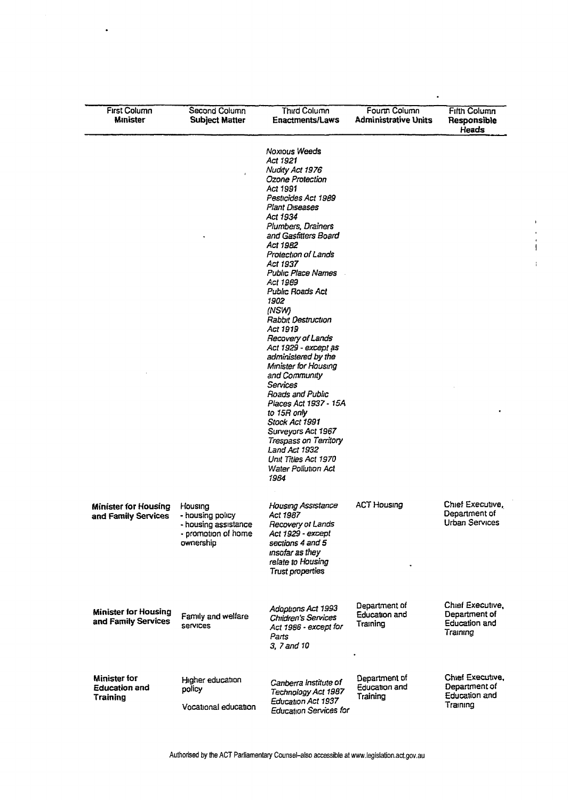| <b>First Column</b><br><b>Minister</b>                         | Second Column<br><b>Subject Matter</b>                                                  | Third Column<br><b>Enactments/Laws</b>                                                                                                                                                                                                                                                                                                                                                                                                                                                                                                                                                                                                                                                                   | Fourm Column<br><b>Administrative Units</b>       | <b>Fifth Column</b><br>Responsible<br>Heads                           |
|----------------------------------------------------------------|-----------------------------------------------------------------------------------------|----------------------------------------------------------------------------------------------------------------------------------------------------------------------------------------------------------------------------------------------------------------------------------------------------------------------------------------------------------------------------------------------------------------------------------------------------------------------------------------------------------------------------------------------------------------------------------------------------------------------------------------------------------------------------------------------------------|---------------------------------------------------|-----------------------------------------------------------------------|
|                                                                |                                                                                         | <b>Noxious Weeds</b><br>Act 1921<br>Nudity Act 1976<br>Ozone Protection<br>Act 1991<br>Pesticides Act 1989<br>Plant Diseases<br>Act 1934<br>Plumbers, Drainers<br>and Gasfitters Board<br>Act 1982<br>Protection of Lands<br>Act 1937<br><b>Public Place Names</b><br>Act 1989<br><b>Public Roads Act</b><br>1902<br>(NSW)<br><b>Rabbit Destruction</b><br>Act 1919<br>Recovery of Lands<br>Act 1929 - except as<br>administered by the<br>Minister for Housing<br>and Community<br>Services<br>Roads and Public<br>Places Act 1937 - 15A<br>to 15R only<br>Stock Act 1991<br>Surveyors Act 1967<br>Trespass on Territory<br>Land Act 1932<br>Unit Titles Act 1970<br><b>Water Pollution Act</b><br>1984 |                                                   |                                                                       |
| <b>Minister for Housing</b><br>and Family Services             | Housing<br>- housing policy<br>- housing assistance<br>- promotion of home<br>ownership | <b>Housing Assistance</b><br>Act 1987<br>Recovery of Lands<br>Act 1929 - except<br>sections 4 and 5<br>insofar as they<br>relate to Housing<br>Trust properties                                                                                                                                                                                                                                                                                                                                                                                                                                                                                                                                          | <b>ACT Housing</b>                                | Chief Executive,<br>Department of<br><b>Urban Services</b>            |
| <b>Minister for Housing</b><br>and Family Services             | Family and welfare<br><b>Services</b>                                                   | Adoptions Act 1993<br><b>Children's Services</b><br>Act 1986 - except for<br>Parts<br>3, 7 and 10                                                                                                                                                                                                                                                                                                                                                                                                                                                                                                                                                                                                        | Department of<br><b>Education and</b><br>Training | Chief Executive,<br>Department of<br><b>Education and</b><br>Training |
| <b>Minister for</b><br><b>Education and</b><br><b>Training</b> | Higher education<br>policy<br>Vocational education                                      | Canberra Institute of<br>Technology Act 1987<br>Education Act 1937<br><b>Education Services for</b>                                                                                                                                                                                                                                                                                                                                                                                                                                                                                                                                                                                                      | Department of<br>Education and<br>Training        | Chief Executive,<br>Department of<br><b>Education and</b><br>Training |

 $\ddot{\phantom{1}}$ 

 $\bar{1}$ 

 $\frac{1}{1}$ 

 $\bar{1}$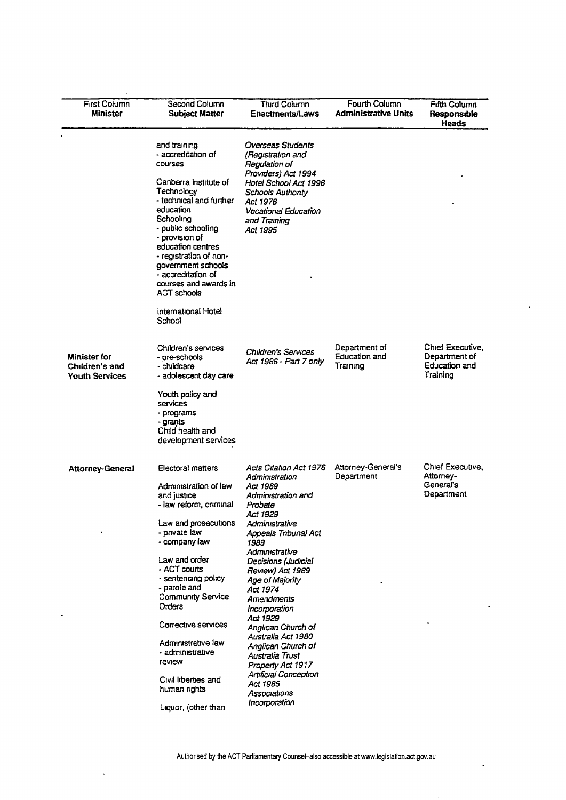| <b>First Column</b><br><b>Minister</b>                         | Second Column<br><b>Subject Matter</b>                                                                                                                                                                                                                                                                                                                                                               | <b>Third Column</b><br><b>Enactments/Laws</b>                                                                                                                                                                                                                                                                                                                                                                                                                                    | Fourth Column<br><b>Administrative Units</b> | <b>Fifth Column</b><br>Responsible<br>Heads                    |
|----------------------------------------------------------------|------------------------------------------------------------------------------------------------------------------------------------------------------------------------------------------------------------------------------------------------------------------------------------------------------------------------------------------------------------------------------------------------------|----------------------------------------------------------------------------------------------------------------------------------------------------------------------------------------------------------------------------------------------------------------------------------------------------------------------------------------------------------------------------------------------------------------------------------------------------------------------------------|----------------------------------------------|----------------------------------------------------------------|
|                                                                | and training<br>- accreditation of<br>courses<br>Canberra institute of<br>Technology<br>- technical and further<br>education<br>Schooling<br>- public schooling<br>- provision of<br>education centres<br>- registration of non-<br>government schools<br>- accreditation of<br>courses and awards in<br><b>ACT schools</b><br>International Hotel<br>School                                         | Overseas Students<br>(Registration and<br>Regulation of<br>Providers) Act 1994<br>Hotel School Act 1996<br><b>Schools Authonty</b><br>Act 1976<br>Vocational Education<br>and Training<br>Act 1995                                                                                                                                                                                                                                                                               |                                              |                                                                |
| <b>Minister for</b><br>Children's and<br><b>Youth Services</b> | Children's services<br>- pre-schools<br>- childcare<br>- adolescent day care<br>Youth policy and<br>services<br>- programs<br>- grants<br>Child health and<br>development services                                                                                                                                                                                                                   | <b>Children's Services</b><br>Act 1986 - Part 7 only                                                                                                                                                                                                                                                                                                                                                                                                                             | Department of<br>Education and<br>Training   | Chief Executive,<br>Department of<br>Education and<br>Training |
| <b>Attorney-General</b>                                        | Electoral matters<br>Administration of law<br>and justice<br>- law reform, criminal<br>Law and prosecutions<br>- private law<br>- company law<br>Law and order<br>- ACT courts<br>- sentencing policy<br>- parole and<br><b>Community Service</b><br>Orders<br>Corrective services<br>Administrative law<br>- administrative<br>review<br>Civil liberties and<br>human rights<br>Liquor, (other than | Acts Citation Act 1976<br>Administration<br>Act 1989<br>Administration and<br>Probate<br>Act 1929<br>Administrative<br><b>Appeals Tnbunal Act</b><br>1989<br>Administrative<br>Decisions (Judicial<br>Review) Act 1989<br>Age of Majority<br>Act 1974<br>Amendments<br>Incorporation<br>Act 1929<br>Anglican Church of<br>Australia Act 1980<br>Anglican Church of<br>Australia Trust<br>Property Act 1917<br>Artificial Conception<br>Act 1985<br>Associations<br>Incorporation | Attorney-General's<br>Department             | Chief Executive,<br>Attorney-<br>General's<br>Department       |

 $\overline{\phantom{a}}$ 

 $\ddot{\phantom{1}}$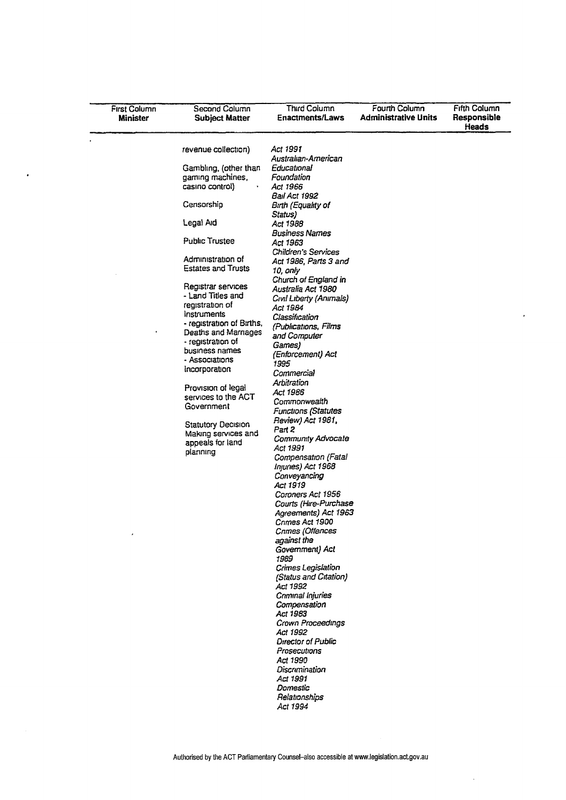| <b>First Column</b><br>Minister | Second Column<br><b>Subject Matter</b> | Third Column<br><b>Enactments/Laws</b> | Fourth Column<br><b>Administrative Units</b> | <b>Fifth Column</b><br>Responsible<br>Heads |
|---------------------------------|----------------------------------------|----------------------------------------|----------------------------------------------|---------------------------------------------|
|                                 | revenue collection)                    | Act 1991                               |                                              |                                             |
|                                 |                                        | Australian-American                    |                                              |                                             |
|                                 | Gambling, (other than                  | Educational                            |                                              |                                             |
|                                 | gaming machines,                       | Foundation                             |                                              |                                             |
|                                 | casino control)                        | Act 1966                               |                                              |                                             |
|                                 |                                        | <b>Bail Act 1992</b>                   |                                              |                                             |
|                                 | Censorship                             | Bırıh (Equalıty of<br>Status)          |                                              |                                             |
|                                 | Legal Aid                              | Act 1988<br><b>Business Names</b>      |                                              |                                             |
|                                 | <b>Public Trustee</b>                  | Act 1963<br>Children's Services        |                                              |                                             |
|                                 | Administration of                      | Act 1986, Parts 3 and                  |                                              |                                             |
|                                 | <b>Estates and Trusts</b>              | 10, only                               |                                              |                                             |
|                                 |                                        | Church of England in                   |                                              |                                             |
|                                 | Registrar services                     | Australia Act 1980                     |                                              |                                             |
|                                 | - Land Titles and                      | Civil Liberty (Animals)                |                                              |                                             |
|                                 | registration of                        | Act 1984                               |                                              |                                             |
|                                 | Instruments                            | Classification                         |                                              |                                             |
|                                 | - registration of Births,              | (Publications, Films                   |                                              |                                             |
|                                 | Deaths and Marnages                    | and Computer                           |                                              |                                             |
|                                 | - registration of                      | Games)                                 |                                              |                                             |
|                                 | business names                         | (Enforcement) Act                      |                                              |                                             |
|                                 | - Associations                         | 1995                                   |                                              |                                             |
|                                 | Incorporation                          | Commercial                             |                                              |                                             |
|                                 |                                        | Arbitration                            |                                              |                                             |
|                                 | Provision of legal                     | Act 1986                               |                                              |                                             |
|                                 | services to the ACT                    | Commonwealth                           |                                              |                                             |
|                                 | Government                             | <b>Functions (Statutes</b>             |                                              |                                             |
|                                 | <b>Statutory Decision</b>              | Review) Act 1981,                      |                                              |                                             |
|                                 | Making services and                    | Part 2                                 |                                              |                                             |
|                                 | appeals for land                       | Community Advocate                     |                                              |                                             |
|                                 | planning                               | Act 1991                               |                                              |                                             |
|                                 |                                        | Compensation (Fatal                    |                                              |                                             |
|                                 |                                        | Injuries) Act 1968                     |                                              |                                             |
|                                 |                                        | Conveyancing                           |                                              |                                             |
|                                 |                                        | Act 1919                               |                                              |                                             |
|                                 |                                        | Coroners Act 1956                      |                                              |                                             |
|                                 |                                        | Courts (Hire-Purchase                  |                                              |                                             |
|                                 |                                        | Agreements) Act 1963                   |                                              |                                             |
|                                 |                                        | Crimes Act 1900                        |                                              |                                             |
|                                 |                                        | Cnmes (Offences                        |                                              |                                             |
|                                 |                                        | against the<br>Government) Act         |                                              |                                             |
|                                 |                                        | 1989                                   |                                              |                                             |
|                                 |                                        | Crimes Legislation                     |                                              |                                             |
|                                 |                                        | (Status and Citation)                  |                                              |                                             |
|                                 |                                        | Act 1992                               |                                              |                                             |
|                                 |                                        | Criminal Injuries                      |                                              |                                             |
|                                 |                                        | Compensation                           |                                              |                                             |
|                                 |                                        | Act 1983                               |                                              |                                             |
|                                 |                                        | Crown Proceedings                      |                                              |                                             |
|                                 |                                        | Act 1992                               |                                              |                                             |
|                                 |                                        | <b>Director of Public</b>              |                                              |                                             |
|                                 |                                        | Prosecutions                           |                                              |                                             |
|                                 |                                        | Act 1990                               |                                              |                                             |
|                                 |                                        | Discrimination                         |                                              |                                             |
|                                 |                                        | Act 1991                               |                                              |                                             |
|                                 |                                        | Domestic                               |                                              |                                             |
|                                 |                                        | Relationships                          |                                              |                                             |
|                                 |                                        | Act 1994                               |                                              |                                             |

 $\hat{\mathcal{A}}$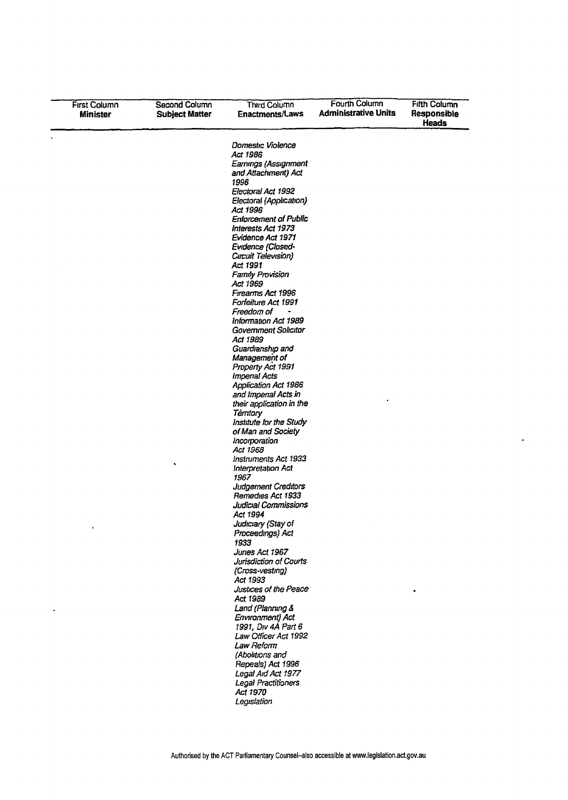| <b>First Column</b><br>Minister | Second Column<br><b>Subject Matter</b> | Third Column<br>Enactments/Laws                                                                                                                                                                                                                                                                                                                                                                                                                                                                                                                                                                                                                                                                                                                                                                                                                          | <b>Fourth Column</b><br><b>Administrative Units</b> | <b>Fifth Column</b><br>Responsible<br>Heads |
|---------------------------------|----------------------------------------|----------------------------------------------------------------------------------------------------------------------------------------------------------------------------------------------------------------------------------------------------------------------------------------------------------------------------------------------------------------------------------------------------------------------------------------------------------------------------------------------------------------------------------------------------------------------------------------------------------------------------------------------------------------------------------------------------------------------------------------------------------------------------------------------------------------------------------------------------------|-----------------------------------------------------|---------------------------------------------|
|                                 |                                        | Domestic Violence<br>Act 1986<br>Earnings (Assignment<br>and Attachment) Act<br>1996<br>Electoral Act 1992<br>Electoral (Application)<br>Act 1996<br><b>Enforcement of Public</b><br>Interests Act 1973<br>Evidence Act 1971<br>Evidence (Closed-<br>Circuit Television)<br>Act 1991<br><b>Family Provision</b><br>Act 1969<br>Firearms Act 1996<br>Forfeiture Act 1991<br>Freedom of<br>Information Act 1989<br><b>Government Solicitor</b><br>Act 1989<br>Guardianship and<br>Management of<br>Propeny Act 1991<br><b>Imperial Acts</b><br><b>Application Act 1986</b><br>and Imperial Acts in<br>their application in the<br>Territory<br>Institute for the Study<br>of Man and Society<br>Incorporation<br>Act 1968<br>Instruments Act 1933<br>interpretation Act<br>1967<br><b>Judgement Creditors</b><br>Remedies Act 1933<br>Judicial Commissions |                                                     |                                             |
|                                 |                                        | Act 1994<br>Judiciary (Stay of<br>Proceedings) Act<br>1933<br>Juries Act 1967<br>Jurisdiction of Courts<br>(Cross-vesting)<br>Act 1993<br>Justices of the Peace<br>Act 1989<br>Land (Planning &<br>Environment) Act<br>1991, Div 4A Part 6<br>Law Officer Act 1992<br>Law Reform<br>(Abolitions and<br>Repeals) Act 1996<br>Legal Aid Act 1977<br>Legal Practitioners<br>Act 1970<br>Legislation                                                                                                                                                                                                                                                                                                                                                                                                                                                         |                                                     |                                             |

 $\hat{\mathcal{L}}$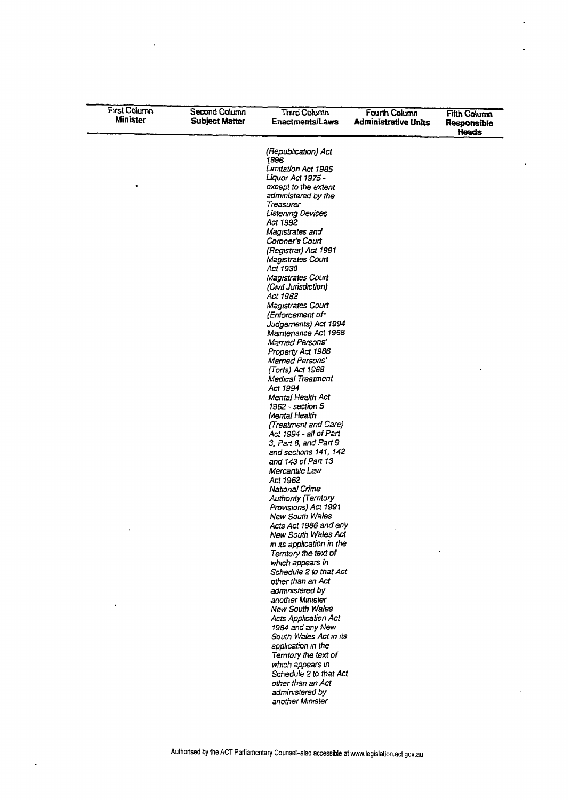| <b>First Column</b><br><b>Minister</b> | Second Column<br><b>Subject Matter</b> | Third Column<br><b>Enactments/Laws</b>         | Fourth Column<br><b>Administrative Units</b> | <b>Fifth Column</b><br>Responsible<br>Heads |
|----------------------------------------|----------------------------------------|------------------------------------------------|----------------------------------------------|---------------------------------------------|
|                                        |                                        | (Republication) Act                            |                                              |                                             |
|                                        |                                        | 1996<br>Limitation Act 1985                    |                                              |                                             |
|                                        |                                        | Liquar Act 1975 -                              |                                              |                                             |
|                                        |                                        | except to the extent                           |                                              |                                             |
|                                        |                                        | administered by the<br>Treasurer               |                                              |                                             |
|                                        |                                        | Listening Devices                              |                                              |                                             |
|                                        |                                        | Act 1992                                       |                                              |                                             |
|                                        |                                        | Magistrates and                                |                                              |                                             |
|                                        |                                        | Coroner's Court<br>(Registrar) Act 1991        |                                              |                                             |
|                                        |                                        | <b>Magistrates Court</b>                       |                                              |                                             |
|                                        |                                        | Act 1930                                       |                                              |                                             |
|                                        |                                        | Magistrates Court                              |                                              |                                             |
|                                        |                                        | (Civil Jurisdiction)<br>Act 1982               |                                              |                                             |
|                                        |                                        | <b>Magistrates Court</b>                       |                                              |                                             |
|                                        |                                        | (Enforcement of-                               |                                              |                                             |
|                                        |                                        | Judgements) Act 1994                           |                                              |                                             |
|                                        |                                        | Mamtenance Act 1968<br>Married Persons'        |                                              |                                             |
|                                        |                                        | Property Act 1986                              |                                              |                                             |
|                                        |                                        | Married Persons'                               |                                              |                                             |
|                                        |                                        | (Torts) Act 1968                               |                                              |                                             |
|                                        |                                        | Medical Treatment<br>Act 1994                  |                                              |                                             |
|                                        |                                        | Mental Health Act                              |                                              |                                             |
|                                        |                                        | 1962 - section 5                               |                                              |                                             |
|                                        |                                        | Mental Health                                  |                                              |                                             |
|                                        |                                        | (Treatment and Care)<br>Act 1994 - all of Part |                                              |                                             |
|                                        |                                        | 3, Part 8, and Part 9                          |                                              |                                             |
|                                        |                                        | and sections 141, 142                          |                                              |                                             |
|                                        |                                        | and 143 of Part 13                             |                                              |                                             |
|                                        |                                        | Mercantile Law<br>Act 1962                     |                                              |                                             |
|                                        |                                        | National Crime                                 |                                              |                                             |
|                                        |                                        | <b>Authority (Territory</b>                    |                                              |                                             |
|                                        |                                        | Provisions) Act 1991<br><b>New South Wales</b> |                                              |                                             |
|                                        |                                        | Acts Act 1986 and any                          |                                              |                                             |
|                                        |                                        | New South Wales Act                            |                                              |                                             |
|                                        |                                        | in its application in the                      |                                              |                                             |
|                                        |                                        | Terntory the text of                           |                                              |                                             |
|                                        |                                        | which appears in<br>Schedule 2 to that Act     |                                              |                                             |
|                                        |                                        | other than an Act                              |                                              |                                             |
|                                        |                                        | administered by                                |                                              |                                             |
|                                        |                                        | another Minister<br><b>New South Wales</b>     |                                              |                                             |
|                                        |                                        | Acts Application Act                           |                                              |                                             |
|                                        |                                        | 1984 and any New                               |                                              |                                             |
|                                        |                                        | South Wales Act in its                         |                                              |                                             |
|                                        |                                        | application in the                             |                                              |                                             |
|                                        |                                        | Temtory the text of<br>which appears in        |                                              |                                             |
|                                        |                                        | Schedule 2 to that Act                         |                                              |                                             |
|                                        |                                        | other than an Act                              |                                              |                                             |
|                                        |                                        | administered by                                |                                              |                                             |
|                                        |                                        | another Minister                               |                                              |                                             |

 $\overline{a}$ 

 $\hat{\mathcal{L}}$ 

l.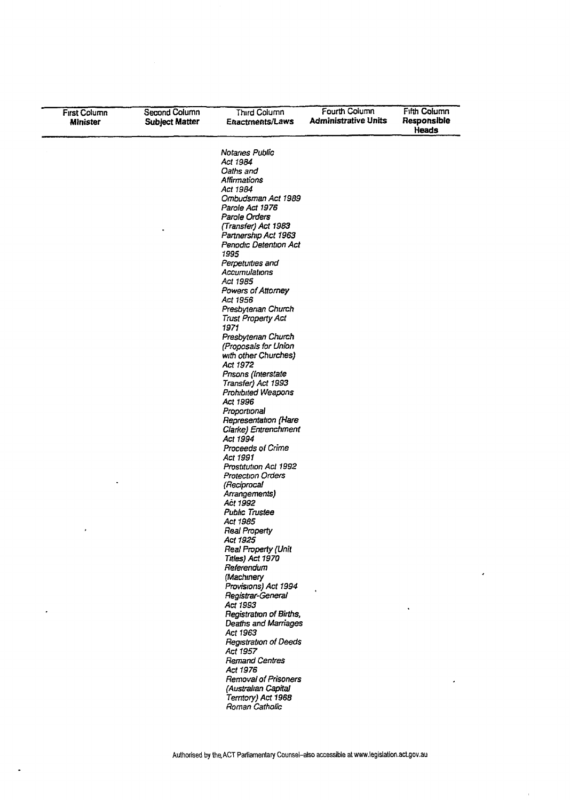| <b>First Column</b><br><b>Minister</b> | Second Column<br><b>Subject Matter</b> | Third Column<br>Enactments/Laws            | Fourth Column<br><b>Administrative Units</b> | <b>Fifth Column</b><br>Responsible<br><b>Heads</b> |
|----------------------------------------|----------------------------------------|--------------------------------------------|----------------------------------------------|----------------------------------------------------|
|                                        |                                        | Notanes Public                             |                                              |                                                    |
|                                        |                                        | Act 1984                                   |                                              |                                                    |
|                                        |                                        | Oaths and                                  |                                              |                                                    |
|                                        |                                        | Affirmations                               |                                              |                                                    |
|                                        |                                        | Act 1984<br>Ombudsman Act 1989             |                                              |                                                    |
|                                        |                                        | Parole Act 1976                            |                                              |                                                    |
|                                        |                                        | Parole Orders                              |                                              |                                                    |
|                                        |                                        | (Transfer) Act 1983                        |                                              |                                                    |
|                                        |                                        | Partnership Act 1963                       |                                              |                                                    |
|                                        |                                        | Penodic Detention Act                      |                                              |                                                    |
|                                        |                                        | 1995                                       |                                              |                                                    |
|                                        |                                        | Perpetuities and                           |                                              |                                                    |
|                                        |                                        | Accumulations                              |                                              |                                                    |
|                                        |                                        | Act 1985                                   |                                              |                                                    |
|                                        |                                        | Powers of Attorney<br>Act 1956             |                                              |                                                    |
|                                        |                                        | Presbyterian Church                        |                                              |                                                    |
|                                        |                                        | <b>Trust Property Act</b>                  |                                              |                                                    |
|                                        |                                        | 1971                                       |                                              |                                                    |
|                                        |                                        | Presbytenan Church                         |                                              |                                                    |
|                                        |                                        | (Proposals for Union                       |                                              |                                                    |
|                                        |                                        | with other Churches)                       |                                              |                                                    |
|                                        |                                        | Act 1972                                   |                                              |                                                    |
|                                        |                                        | Prisons (Interstate                        |                                              |                                                    |
|                                        |                                        | Transfer) Act 1993                         |                                              |                                                    |
|                                        |                                        | Prohibited Weapons<br>Act 1996             |                                              |                                                    |
|                                        |                                        | Proportional                               |                                              |                                                    |
|                                        |                                        | Representation (Hare                       |                                              |                                                    |
|                                        |                                        | Clarke) Entrenchment                       |                                              |                                                    |
|                                        |                                        | Act 1994                                   |                                              |                                                    |
|                                        |                                        | Proceeds of Crime                          |                                              |                                                    |
|                                        |                                        | Act 1991                                   |                                              |                                                    |
|                                        |                                        | Prostitution Act 1992                      |                                              |                                                    |
|                                        |                                        | Protection Orders                          |                                              |                                                    |
|                                        |                                        | (Reciprocal<br>Arrangements)               |                                              |                                                    |
|                                        |                                        | Act 1992                                   |                                              |                                                    |
|                                        |                                        | <b>Public Trustee</b>                      |                                              |                                                    |
|                                        |                                        | Act 1985                                   |                                              |                                                    |
| ,                                      |                                        | <b>Real Property</b>                       |                                              |                                                    |
|                                        |                                        | Act 1925                                   |                                              |                                                    |
|                                        |                                        | Real Property (Unit                        |                                              |                                                    |
|                                        |                                        | Titles) Act 1970                           |                                              |                                                    |
|                                        |                                        | Referendum<br>(Machinery                   |                                              |                                                    |
|                                        |                                        | Provisions) Act 1994                       |                                              |                                                    |
|                                        |                                        | Registrar-General                          |                                              |                                                    |
|                                        |                                        | Act 1993                                   |                                              |                                                    |
|                                        |                                        | <b>Registration of Births,</b>             |                                              |                                                    |
|                                        |                                        | <b>Deaths and Marriages</b>                |                                              |                                                    |
|                                        |                                        | Act 1963                                   |                                              |                                                    |
|                                        |                                        | Registration of Deeds                      |                                              |                                                    |
|                                        |                                        | Act 1957                                   |                                              |                                                    |
|                                        |                                        | <b>Remand Centres</b>                      |                                              |                                                    |
|                                        |                                        | Act 1976                                   |                                              |                                                    |
|                                        |                                        | <b>Removal of Prisoners</b>                |                                              |                                                    |
|                                        |                                        | (Australian Capital<br>Territory) Act 1968 |                                              |                                                    |
|                                        |                                        |                                            |                                              |                                                    |

 $\ddot{\phantom{a}}$ 

 $\hat{\boldsymbol{\epsilon}}$ 

 $\bar{1}$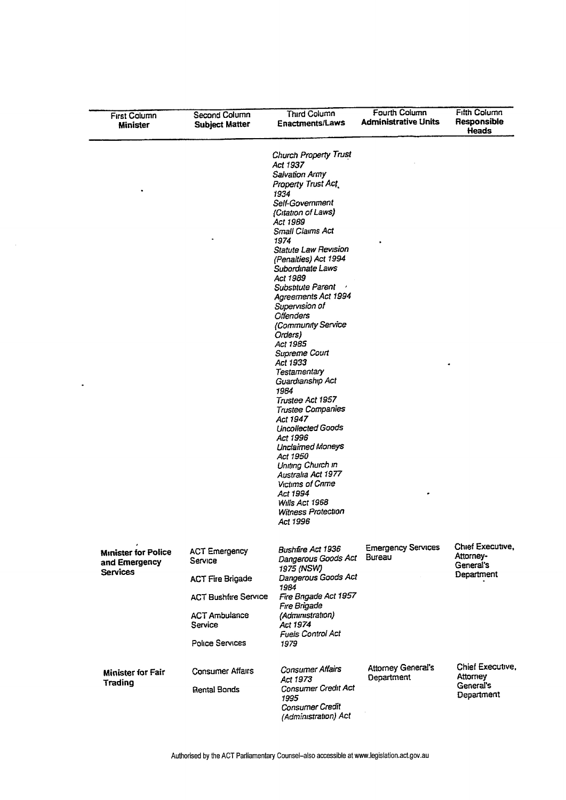| First Column<br>Minister                                       | Second Column<br><b>Subject Matter</b>                     | Third Column<br>Enactments/Laws                                                                                                                                                                                                                                                                                                                                                                                                                                                                                                                                                                                                                                                                                                                            | Fourth Column<br><b>Administrative Units</b> | <b>Fitth Column</b><br>Responsible<br>Heads              |
|----------------------------------------------------------------|------------------------------------------------------------|------------------------------------------------------------------------------------------------------------------------------------------------------------------------------------------------------------------------------------------------------------------------------------------------------------------------------------------------------------------------------------------------------------------------------------------------------------------------------------------------------------------------------------------------------------------------------------------------------------------------------------------------------------------------------------------------------------------------------------------------------------|----------------------------------------------|----------------------------------------------------------|
|                                                                |                                                            | <b>Church Property Trust</b><br>Act 1937<br>Salvation Army<br>Property Trust Act.<br>1934<br>Self-Government<br>(Citation of Laws)<br>Act 1989<br>Small Claims Act<br>1974<br><b>Statute Law Revision</b><br>(Penalties) Act 1994<br>Subordinate Laws<br>Act 1989<br>Substitute Parent<br>Agreements Act 1994<br>Supervision of<br><b>Offenders</b><br>(Community Service<br>Orders)<br>Act 1985<br>Supreme Court<br>Act 1933<br>Testamentary<br>Guardianship Act<br>1984<br>Trustee Act 1957<br><b>Trustee Companies</b><br>Act 1947<br><b>Uncollected Goods</b><br>Act 1996<br><b>Unclaimed Moneys</b><br>Act 1950<br>Uniting Church in<br>Australia Act 1977<br><b>Victims of Crime</b><br>Act 1994<br>Wills Act 1968<br>Witness Protection<br>Act 1996 |                                              |                                                          |
| <b>Minister for Police</b><br>and Emergency<br><b>Services</b> | <b>ACT Emergency</b><br>Service<br><b>ACT Fire Brigade</b> | <b>Bushfire Act 1936</b><br>Dangerous Goods Act<br>1975 (NSW)<br>Dangerous Goods Act<br>1984                                                                                                                                                                                                                                                                                                                                                                                                                                                                                                                                                                                                                                                               | <b>Emergency Services</b><br>Bureau          | Chief Executive,<br>Attorney-<br>General's<br>Department |
|                                                                | <b>ACT Bushfire Service</b>                                | Fire Brigade Act 1957<br>Fire Brigade                                                                                                                                                                                                                                                                                                                                                                                                                                                                                                                                                                                                                                                                                                                      |                                              |                                                          |
|                                                                | <b>ACT Ambulance</b><br>Service                            | (Administration)<br>Act 1974<br><b>Fuels Control Act</b>                                                                                                                                                                                                                                                                                                                                                                                                                                                                                                                                                                                                                                                                                                   |                                              |                                                          |
|                                                                | <b>Police Services</b>                                     | 1979                                                                                                                                                                                                                                                                                                                                                                                                                                                                                                                                                                                                                                                                                                                                                       |                                              |                                                          |
| <b>Minister for Fair</b><br>Trading                            | <b>Consumer Affairs</b><br>Rental Bonds                    | <b>Consumer Affairs</b><br>Act 1973<br>Consumer Credit Act<br>1995<br>Consumer Credit                                                                                                                                                                                                                                                                                                                                                                                                                                                                                                                                                                                                                                                                      | <b>Attorney General's</b><br>Department      | Chief Executive,<br>Attorney<br>General's<br>Department  |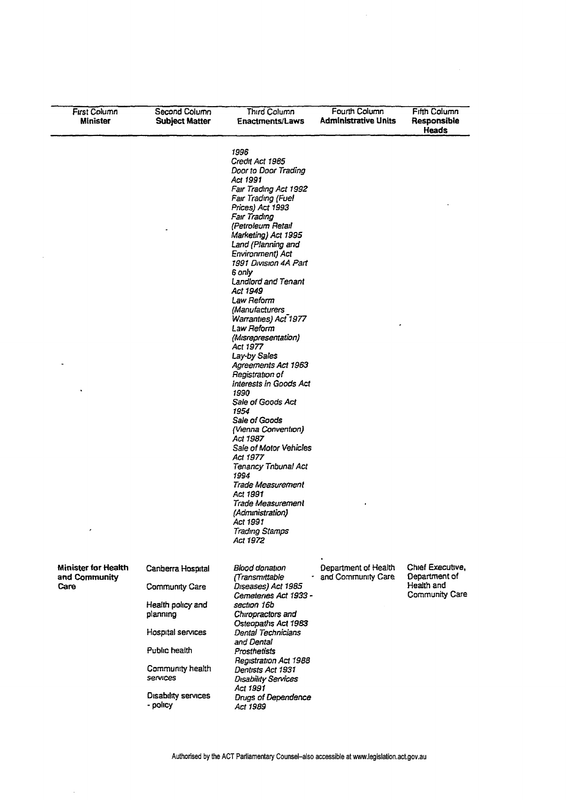| First Column<br>Minister                            | Second Column<br><b>Subject Matter</b> | Third Column<br><b>Enactments/Laws</b>                                                                                                                                                                                                                                                                                                                                                                                                                                                                                                                                                                                                                                                                                                                                                                  | Fourth Column<br><b>Administrative Units</b> | Fifth Column<br>Responsible<br>Heads                              |
|-----------------------------------------------------|----------------------------------------|---------------------------------------------------------------------------------------------------------------------------------------------------------------------------------------------------------------------------------------------------------------------------------------------------------------------------------------------------------------------------------------------------------------------------------------------------------------------------------------------------------------------------------------------------------------------------------------------------------------------------------------------------------------------------------------------------------------------------------------------------------------------------------------------------------|----------------------------------------------|-------------------------------------------------------------------|
| ٠                                                   |                                        | 1996<br>Credit Act 1985<br>Door to Door Trading<br>Act 1991<br>Fair Trading Act 1992<br>Fair Trading (Fuel<br>Prices) Act 1993<br>Fair Trading<br>(Petroleum Retail<br>Marketing) Act 1995<br>Land (Planning and<br>Environment) Act<br>1991 Division 4A Part<br>6 only<br>Landlord and Tenant<br>Act 1949<br>Law Reform<br>(Manufacturers<br>Warranties) Act 1977<br>Law Reform<br>(Misrepresentation)<br>Act 1977<br>Lay-by Sales<br>Agreements Act 1963<br>Registration of<br>Interests in Goods Act<br>1990<br>Sale of Goods Act<br>1954<br>Sale of Goods<br>(Vienna Convention)<br>Act 1987<br>Sale of Motor Vehicles<br>Act 1977<br><b>Tenancy Tnbunal Act</b><br>1994<br>Trade Measurement<br>Act 1991<br>Trade Measurement<br>(Administration)<br>Act 1991<br><b>Trading Stamps</b><br>Act 1972 |                                              |                                                                   |
| <b>Minister for Health</b><br>and Community<br>Care | Canberra Hospital<br>Community Care    | Blood donation<br>(Transmittable<br>Diseases) Act 1985<br>Cemeteries Act 1933 -                                                                                                                                                                                                                                                                                                                                                                                                                                                                                                                                                                                                                                                                                                                         | Department of Health<br>and Community Care   | Chief Executive,<br>Department of<br>Health and<br>Community Care |
|                                                     | Health policy and<br>planning          | section 16b<br>Chiropractors and                                                                                                                                                                                                                                                                                                                                                                                                                                                                                                                                                                                                                                                                                                                                                                        |                                              |                                                                   |
|                                                     | Hospital services                      | Osteopaths Act 1983<br>Dental Technicians<br>and Dental                                                                                                                                                                                                                                                                                                                                                                                                                                                                                                                                                                                                                                                                                                                                                 |                                              |                                                                   |
|                                                     | Public health                          | Prosthetists<br>Registration Act 1988                                                                                                                                                                                                                                                                                                                                                                                                                                                                                                                                                                                                                                                                                                                                                                   |                                              |                                                                   |
|                                                     | Community health<br>services           | Dentists Act 1931<br><b>Disability Services</b><br>Act 1991                                                                                                                                                                                                                                                                                                                                                                                                                                                                                                                                                                                                                                                                                                                                             |                                              |                                                                   |
|                                                     | Disability services<br>- policy        | Drugs of Dependence<br>Act 1989                                                                                                                                                                                                                                                                                                                                                                                                                                                                                                                                                                                                                                                                                                                                                                         |                                              |                                                                   |

 $\mathbb{R}^2$ 

 $\bar{\beta}$ 

 $\mathbb{R}^2$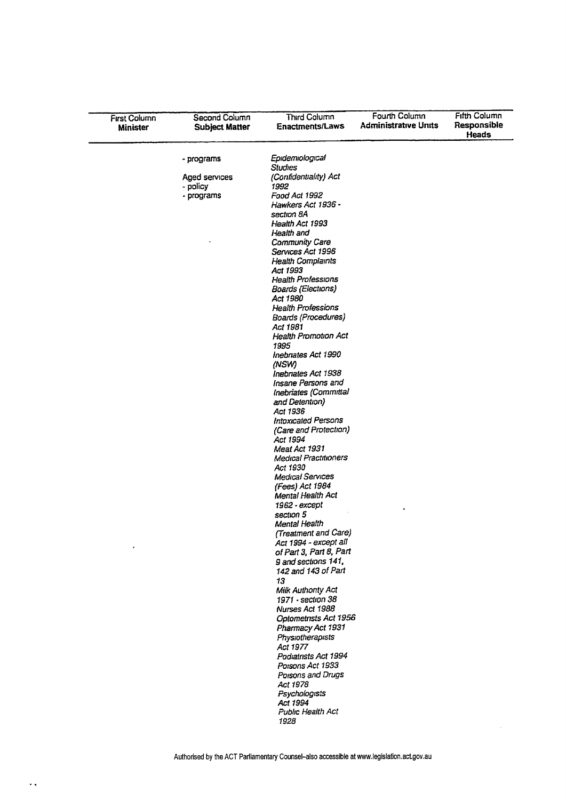| <b>First Column</b><br><b>Minister</b> | Second Column<br><b>Subject Matter</b> | Third Column<br><b>Enactments/Laws</b>  | Fourth Column<br><b>Administrative Units</b> | <b>Fifth Column</b><br>Responsible<br><b>Heads</b> |
|----------------------------------------|----------------------------------------|-----------------------------------------|----------------------------------------------|----------------------------------------------------|
|                                        | - programs                             | Epidemiological                         |                                              |                                                    |
|                                        |                                        | Studies                                 |                                              |                                                    |
|                                        | Aged services                          | (Confidentiality) Act                   |                                              |                                                    |
|                                        | - policy                               | 1992                                    |                                              |                                                    |
|                                        | - programs                             | Food Act 1992                           |                                              |                                                    |
|                                        |                                        | Hawkers Act 1936 -<br>section 8A        |                                              |                                                    |
|                                        |                                        | Health Act 1993                         |                                              |                                                    |
|                                        |                                        | Health and                              |                                              |                                                    |
|                                        |                                        | Community Care                          |                                              |                                                    |
|                                        |                                        | Services Act 1996                       |                                              |                                                    |
|                                        |                                        | <b>Health Complaints</b>                |                                              |                                                    |
|                                        |                                        | Act 1993<br>Health Professions          |                                              |                                                    |
|                                        |                                        | Boards (Elections)                      |                                              |                                                    |
|                                        |                                        | Act 1980                                |                                              |                                                    |
|                                        |                                        | <b>Health Professions</b>               |                                              |                                                    |
|                                        |                                        | Boards (Procedures)                     |                                              |                                                    |
|                                        |                                        | Act 1981<br><b>Health Promotion Act</b> |                                              |                                                    |
|                                        |                                        | 1995                                    |                                              |                                                    |
|                                        |                                        | Inebnates Act 1990                      |                                              |                                                    |
|                                        |                                        | (NSW)                                   |                                              |                                                    |
|                                        |                                        | Inebrates Act 1938                      |                                              |                                                    |
|                                        |                                        | Insane Persons and                      |                                              |                                                    |
|                                        |                                        | Inebriates (Committal                   |                                              |                                                    |
|                                        |                                        | and Detention)<br>Act 1936              |                                              |                                                    |
|                                        |                                        | <b>Intoxicated Persons</b>              |                                              |                                                    |
|                                        |                                        | (Care and Protection)                   |                                              |                                                    |
|                                        |                                        | Act 1994                                |                                              |                                                    |
|                                        |                                        | Meat Act 1931                           |                                              |                                                    |
|                                        |                                        | Medical Practitioners<br>Act 1930       |                                              |                                                    |
|                                        |                                        | Medical Services                        |                                              |                                                    |
|                                        |                                        | (Fees) Act 1984                         |                                              |                                                    |
|                                        |                                        | Mental Health Act                       |                                              |                                                    |
|                                        |                                        | 1962 - except                           |                                              |                                                    |
|                                        |                                        | section 5<br>Mental Health              |                                              |                                                    |
|                                        |                                        | (Treatment and Care)                    |                                              |                                                    |
|                                        |                                        | Act 1994 - except all                   |                                              |                                                    |
|                                        |                                        | of Part 3, Part 8, Part                 |                                              |                                                    |
|                                        |                                        | 9 and sections 141,                     |                                              |                                                    |
|                                        |                                        | 142 and 143 of Part                     |                                              |                                                    |
|                                        |                                        | 13<br><b>Milk Authonty Act</b>          |                                              |                                                    |
|                                        |                                        | 1971 - section 38                       |                                              |                                                    |
|                                        |                                        | Nurses Act 1988                         |                                              |                                                    |
|                                        |                                        | Optometrists Act 1956                   |                                              |                                                    |
|                                        |                                        | Pharmacy Act 1931                       |                                              |                                                    |
|                                        |                                        | Physiotherapists                        |                                              |                                                    |
|                                        |                                        | Act 1977<br>Podiatrists Act 1994        |                                              |                                                    |
|                                        |                                        | Poisons Act 1933                        |                                              |                                                    |
|                                        |                                        | Poisons and Drugs                       |                                              |                                                    |
|                                        |                                        | Act 1978                                |                                              |                                                    |
|                                        |                                        | Psychologists                           |                                              |                                                    |
|                                        |                                        | Act 1994<br>Public Health Act           |                                              |                                                    |
|                                        |                                        | 1928                                    |                                              |                                                    |